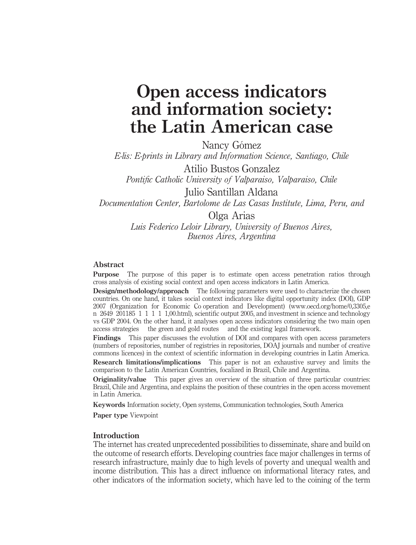# Open access indicators and information society: the Latin American case

Nancy Gómez E-lis: E-prints in Library and Information Science, Santiago, Chile Atilio Bustos Gonzalez Pontific Catholic University of Valparaiso, Valparaiso, Chile Julio Santillan Aldana

Documentation Center, Bartolome de Las Casas Institute, Lima, Peru, and

Olga Arias Luis Federico Leloir Library, University of Buenos Aires, Buenos Aires, Argentina

#### Abstract

Purpose The purpose of this paper is to estimate open access penetration ratios through cross analysis of existing social context and open access indicators in Latin America.

**Design/methodology/approach** The following parameters were used to characterize the chosen countries. On one hand, it takes social context indicators like digital opportunity index (DOI), GDP 2007 (Organization for Economic Co operation and Development) (www.oecd.org/home/0,3305,e n 2649 201185 1 1 1 1 1,00.html), scientific output 2005, and investment in science and technology vs GDP 2004. On the other hand, it analyses open access indicators considering the two main open access strategies the green and gold routes and the existing legal framework.

Findings This paper discusses the evolution of DOI and compares with open access parameters (numbers of repositories, number of registries in repositories, DOAJ journals and number of creative commons licences) in the context of scientific information in developing countries in Latin America.

Research limitations/implications This paper is not an exhaustive survey and limits the comparison to the Latin American Countries, focalized in Brazil, Chile and Argentina.

Originality/value This paper gives an overview of the situation of three particular countries: Brazil, Chile and Argentina, and explains the position of these countries in the open access movement in Latin America.

Keywords Information society, Open systems, Communication technologies, South America

Paper type Viewpoint

#### Introduction

The internet has created unprecedented possibilities to disseminate, share and build on the outcome of research efforts. Developing countries face major challenges in terms of research infrastructure, mainly due to high levels of poverty and unequal wealth and income distribution. This has a direct influence on informational literacy rates, and other indicators of the information society, which have led to the coining of the term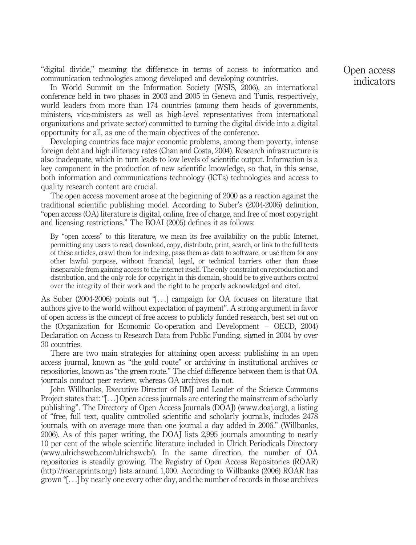"digital divide," meaning the difference in terms of access to information and communication technologies among developed and developing countries.

In World Summit on the Information Society (WSIS, 2006), an international conference held in two phases in 2003 and 2005 in Geneva and Tunis, respectively, world leaders from more than 174 countries (among them heads of governments, ministers, vice-ministers as well as high-level representatives from international organizations and private sector) committed to turning the digital divide into a digital opportunity for all, as one of the main objectives of the conference.

Developing countries face major economic problems, among them poverty, intense foreign debt and high illiteracy rates (Chan and Costa, 2004). Research infrastructure is also inadequate, which in turn leads to low levels of scientific output. Information is a key component in the production of new scientific knowledge, so that, in this sense, both information and communications technology (ICTs) technologies and access to quality research content are crucial.

The open access movement arose at the beginning of 2000 as a reaction against the traditional scientific publishing model. According to Suber's (2004-2006) definition, "open access (OA) literature is digital, online, free of charge, and free of most copyright and licensing restrictions." The BOAI (2005) defines it as follows:

By "open access" to this literature, we mean its free availability on the public Internet. permitting any users to read, download, copy, distribute, print, search, or link to the full texts of these articles, crawl them for indexing, pass them as data to software, or use them for any other lawful purpose, without financial, legal, or technical barriers other than those inseparable from gaining access to the internet itself. The only constraint on reproduction and distribution, and the only role for copyright in this domain, should be to give authors control over the integrity of their work and the right to be properly acknowledged and cited.

As Suber (2004-2006) points out "[...] campaign for OA focuses on literature that authors give to the world without expectation of payment". A strong argument in favor of open access is the concept of free access to publicly funded research, best set out on the (Organization for Economic Co-operation and Development – OECD, 2004) Declaration on Access to Research Data from Public Funding, signed in 2004 by over 30 countries.

There are two main strategies for attaining open access: publishing in an open access journal, known as "the gold route" or archiving in institutional archives or repositories, known as "the green route." The chief difference between them is that OA journals conduct peer review, whereas OA archives do not.

John Willbanks, Executive Director of BMJ and Leader of the Science Commons Project states that: "[...] Open access journals are entering the mainstream of scholarly publishing". The Directory of Open Access Journals (DOAJ) (www.doaj.org), a listing of "free, full text, quality controlled scientific and scholarly journals, includes 2478 journals, with on average more than one journal a day added in 2006." (Willbanks, 2006). As of this paper writing, the DOAJ lists 2,995 journals amounting to nearly 10 per cent of the whole scientific literature included in Ulrich Periodicals Directory (www.ulrichsweb.com/ulrichsweb/). In the same direction, the number of OA repositories is steadily growing. The Registry of Open Access Repositories (ROAR) (http://roar.eprints.org/) lists around 1,000. According to Willbanks (2006) ROAR has grown "[...] by nearly one every other day, and the number of records in those archives

Open access indicators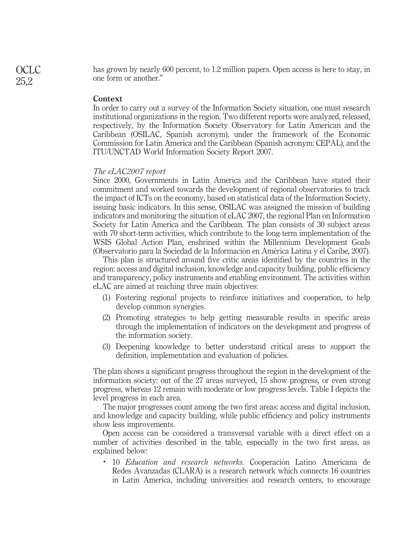has grown by nearly 600 percent, to 1.2 million papers. Open access is here to stay, in one form or another."

#### **Context**

In order to carry out a survey of the Information Society situation, one must research institutional organizations in the region. Two different reports were analyzed, released, respectively, by the Information Society Observatory for Latin American and the Caribbean (OSILAC, Spanish acronym), under the framework of the Economic Commission for Latin America and the Caribbean (Spanish acronym: CEPAL), and the ITU/UNCTAD World Information Society Report 2007.

#### The eLAC2007 report

Since 2000, Governments in Latin America and the Caribbean have stated their commitment and worked towards the development of regional observatories to track the impact of ICTs on the economy, based on statistical data of the Information Society, issuing basic indicators. In this sense, OSILAC was assigned the mission of building indicators and monitoring the situation of eLAC 2007, the regional Plan on Information Society for Latin America and the Caribbean. The plan consists of 30 subject areas with 70 short-term activities, which contribute to the long-term implementation of the WSIS Global Action Plan, enshrined within the Millennium Development Goals (Observatorio para la Sociedad de la Información en América Latina y el Caribe, 2007).

This plan is structured around five critic areas identified by the countries in the region: access and digital inclusion, knowledge and capacity building, public efficiency and transparency, policy instruments and enabling environment. The activities within eLAC are aimed at reaching three main objectives:

- (1) Fostering regional projects to reinforce initiatives and cooperation, to help develop common synergies.
- (2) Promoting strategies to help getting measurable results in specific areas through the implementation of indicators on the development and progress of the information society.
- (3) Deepening knowledge to better understand critical areas to support the definition, implementation and evaluation of policies.

The plan shows a significant progress throughout the region in the development of the information society: out of the 27 areas surveyed, 15 show progress, or even strong progress, whereas 12 remain with moderate or low progress levels. Table I depicts the level progress in each area.

The major progresses count among the two first areas: access and digital inclusion, and knowledge and capacity building, while public efficiency and policy instruments show less improvements.

Open access can be considered a transversal variable with a direct effect on a number of activities described in the table, especially in the two first areas, as explained below:

• 10 *Education and research networks*. Cooperación Latino Americana de Redes Avanzadas (CLARA) is a research network which connects 16 countries in Latin America, including universities and research centers, to encourage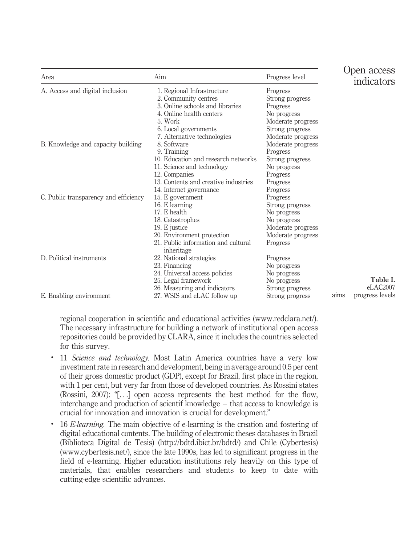| Area                                  | Aim                                               | Progress level    |      | Open access<br>indicators |
|---------------------------------------|---------------------------------------------------|-------------------|------|---------------------------|
| A. Access and digital inclusion       | 1. Regional Infrastructure                        | Progress          |      |                           |
|                                       | 2. Community centres                              | Strong progress   |      |                           |
|                                       | 3. Online schools and libraries                   | Progress          |      |                           |
|                                       | 4. Online health centers                          | No progress       |      |                           |
|                                       | 5. Work                                           | Moderate progress |      |                           |
|                                       | 6. Local governments                              | Strong progress   |      |                           |
|                                       | 7. Alternative technologies                       | Moderate progress |      |                           |
| B. Knowledge and capacity building    | 8. Software                                       | Moderate progress |      |                           |
|                                       | 9. Training                                       | Progress          |      |                           |
|                                       | 10. Education and research networks               | Strong progress   |      |                           |
|                                       | 11. Science and technology                        | No progress       |      |                           |
|                                       | 12. Companies                                     | Progress          |      |                           |
|                                       | 13. Contents and creative industries              | Progress          |      |                           |
|                                       | 14. Internet governance                           | Progress          |      |                           |
| C. Public transparency and efficiency | 15. E government                                  | Progress          |      |                           |
|                                       | 16. E learning                                    | Strong progress   |      |                           |
|                                       | 17. E health                                      | No progress       |      |                           |
|                                       | 18. Catastrophes                                  | No progress       |      |                           |
|                                       | 19. E justice                                     | Moderate progress |      |                           |
|                                       | 20. Environment protection                        | Moderate progress |      |                           |
|                                       | 21. Public information and cultural<br>inheritage | Progress          |      |                           |
| D. Political instruments              | 22. National strategies                           | Progress          |      |                           |
|                                       | 23. Financing                                     | No progress       |      |                           |
|                                       | 24. Universal access policies                     | No progress       |      |                           |
|                                       | 25. Legal framework                               | No progress       |      | Table I.                  |
|                                       | 26. Measuring and indicators                      | Strong progress   |      | eLAC2007                  |
| E. Enabling environment               | 27. WSIS and eLAC follow up                       | Strong progress   | aims | progress levels           |

regional cooperation in scientific and educational activities (www.redclara.net/). The necessary infrastructure for building a network of institutional open access repositories could be provided by CLARA, since it includes the countries selected for this survey.

- 11 Science and technology. Most Latin America countries have a very low investment rate in research and development, being in average around 0.5 per cent of their gross domestic product (GDP), except for Brazil, first place in the region, with 1 per cent, but very far from those of developed countries. As Rossini states (Rossini, 2007): "[...] open access represents the best method for the flow, interchange and production of scientif knowledge – that access to knowledge is crucial for innovation and innovation is crucial for development."
- . 16 E-learning. The main objective of e-learning is the creation and fostering of digital educational contents. The building of electronic theses databases in Brazil (Biblioteca Digital de Tesis) (http://bdtd.ibict.br/bdtd/) and Chile (Cybertesis) (www.cybertesis.net/), since the late 1990s, has led to significant progress in the field of e-learning. Higher education institutions rely heavily on this type of materials, that enables researchers and students to keep to date with cutting-edge scientific advances.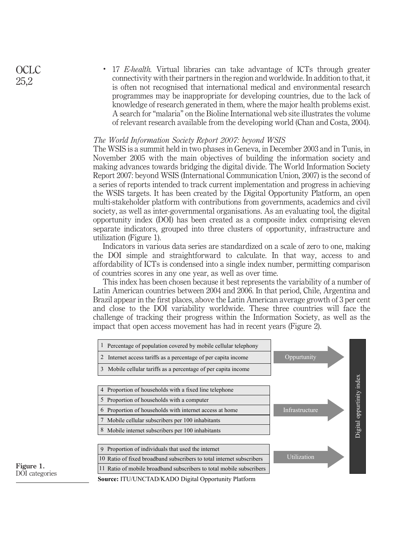. 17 E-health. Virtual libraries can take advantage of ICTs through greater connectivity with their partners in the region and worldwide. In addition to that, it is often not recognised that international medical and environmental research programmes may be inappropriate for developing countries, due to the lack of knowledge of research generated in them, where the major health problems exist. A search for "malaria" on the Bioline International web site illustrates the volume of relevant research available from the developing world (Chan and Costa, 2004).

#### The World Information Society Report 2007: beyond WSIS

The WSIS is a summit held in two phases in Geneva, in December 2003 and in Tunis, in November 2005 with the main objectives of building the information society and making advances towards bridging the digital divide. The World Information Society Report 2007: beyond WSIS (International Communication Union, 2007) is the second of a series of reports intended to track current implementation and progress in achieving the WSIS targets. It has been created by the Digital Opportunity Platform, an open multi-stakeholder platform with contributions from governments, academics and civil society, as well as inter-governmental organisations. As an evaluating tool, the digital opportunity index (DOI) has been created as a composite index comprising eleven separate indicators, grouped into three clusters of opportunity, infrastructure and utilization (Figure 1).

Indicators in various data series are standardized on a scale of zero to one, making the DOI simple and straightforward to calculate. In that way, access to and affordability of ICTs is condensed into a single index number, permitting comparison of countries scores in any one year, as well as over time.

This index has been chosen because it best represents the variability of a number of Latin American countries between 2004 and 2006. In that period, Chile, Argentina and Brazil appear in the first places, above the Latin American average growth of 3 per cent and close to the DOI variability worldwide. These three countries will face the challenge of tracking their progress within the Information Society, as well as the impact that open access movement has had in recent years (Figure 2).



Figure 1. DOI categories

**Source:** ITU/UNCTAD/KADO Digital Opportunity Platform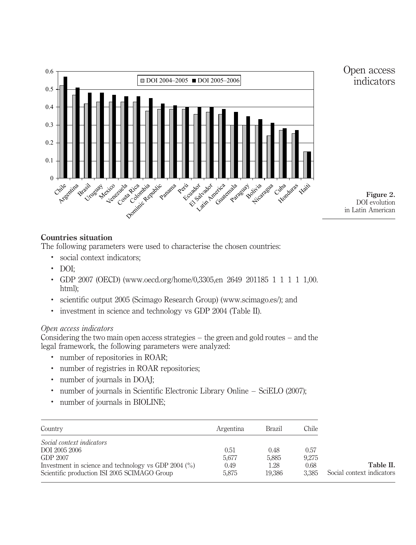

# Countries situation

The following parameters were used to characterise the chosen countries:

- . social context indicators;
- $\cdot$  DOI:
- . GDP 2007 (OECD) (www.oecd.org/home/0,3305,en 2649 201185 1 1 1 1 1,00. html);
- . scientific output 2005 (Scimago Research Group) (www.scimago.es/); and
- . investment in science and technology vs GDP 2004 (Table II).

## Open access indicators

Considering the two main open access strategies – the green and gold routes – and the legal framework, the following parameters were analyzed:

- . number of repositories in ROAR;
- . number of registries in ROAR repositories;
- . number of journals in DOAJ;
- . number of journals in Scientific Electronic Library Online SciELO (2007);
- . number of journals in BIOLINE;

| Country                                                         | Argentina | Brazil | Chile |                           |
|-----------------------------------------------------------------|-----------|--------|-------|---------------------------|
| Social context indicators                                       |           |        |       |                           |
| DOI 2005 2006                                                   | 0.51      | 0.48   | 0.57  |                           |
| GDP 2007                                                        | 5.677     | 5.885  | 9.275 |                           |
| Investment in science and technology vs GDP 2004 $\binom{0}{0}$ | 0.49      | 1.28   | 0.68  | Table II.                 |
| Scientific production ISI 2005 SCIMAGO Group                    | 5.875     | 19.386 | 3.385 | Social context indicators |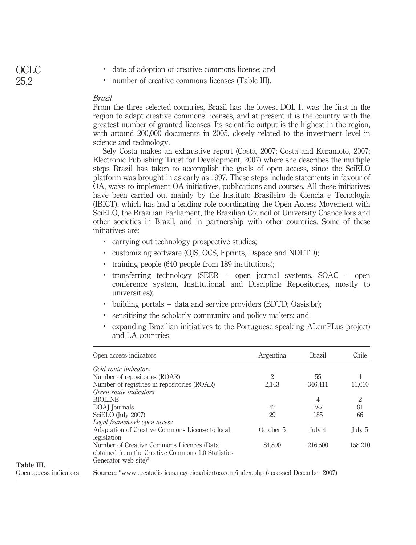- . date of adoption of creative commons license; and
- . number of creative commons licenses (Table III).

#### Brazil

From the three selected countries, Brazil has the lowest DOI. It was the first in the region to adapt creative commons licenses, and at present it is the country with the greatest number of granted licenses. Its scientific output is the highest in the region, with around 200,000 documents in 2005, closely related to the investment level in science and technology.

Sely Costa makes an exhaustive report (Costa, 2007; Costa and Kuramoto, 2007; Electronic Publishing Trust for Development, 2007) where she describes the multiple steps Brazil has taken to accomplish the goals of open access, since the SciELO platform was brought in as early as 1997. These steps include statements in favour of OA, ways to implement OA initiatives, publications and courses. All these initiatives have been carried out mainly by the Instituto Brasileiro de Ciencia e Tecnologia (IBICT), which has had a leading role coordinating the Open Access Movement with SciELO, the Brazilian Parliament, the Brazilian Council of University Chancellors and other societies in Brazil, and in partnership with other countries. Some of these initiatives are:

- . carrying out technology prospective studies;
- . customizing software (OJS, OCS, Eprints, Dspace and NDLTD);
- . training people (640 people from 189 institutions);
- . transferring technology (SEER open journal systems, SOAC open conference system, Institutional and Discipline Repositories, mostly to universities);
- . building portals data and service providers (BDTD; Oasis.br);
- . sensitising the scholarly community and policy makers; and
- . expanding Brazilian initiatives to the Portuguese speaking ALemPLus project) and LA countries.

| Open access indicators                                                                                                            | Argentina                   | <b>Brazil</b> | Chile   |
|-----------------------------------------------------------------------------------------------------------------------------------|-----------------------------|---------------|---------|
| Gold route indicators                                                                                                             |                             |               |         |
| Number of repositories (ROAR)                                                                                                     | $\mathcal{P}_{\mathcal{L}}$ | 55            | 4       |
| Number of registries in repositories (ROAR)                                                                                       | 2,143                       | 346,411       | 11,610  |
| Green route indicators                                                                                                            |                             |               |         |
| <b>BIOLINE</b>                                                                                                                    |                             | 4             | 2       |
| DOAJ Journals                                                                                                                     | 42                          | 287           | 81      |
| SciELO (July 2007)                                                                                                                | 29                          | 185           | 66      |
| Legal framework open access                                                                                                       |                             |               |         |
| Adaptation of Creative Commons License to local<br>legislation                                                                    | October 5                   | July 4        | July 5  |
| Number of Creative Commons Licences (Data<br>obtained from the Creative Commons 1.0 Statistics<br>Generator web site <sup>a</sup> | 84.890                      | 216,500       | 158.210 |

# OCLC 25,2

Table III.

Open access indicators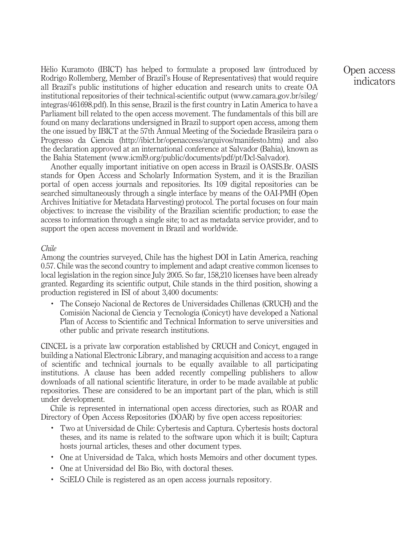Hélio Kuramoto (IBICT) has helped to formulate a proposed law (introduced by Rodrigo Rollemberg, Member of Brazil's House of Representatives) that would require all Brazil's public institutions of higher education and research units to create OA institutional repositories of their technical-scientific output (www.camara.gov.br/sileg/ integras/461698.pdf). In this sense, Brazil is the first country in Latin America to have a Parliament bill related to the open access movement. The fundamentals of this bill are found on many declarations undersigned in Brazil to support open access, among them the one issued by IBICT at the 57th Annual Meeting of the Sociedade Brasileira para o Progresso da Ciencia (http://ibict.br/openaccess/arquivos/manifesto.htm) and also the declaration approved at an international conference at Salvador (Bahia), known as the Bahia Statement (www.icml9.org/public/documents/pdf/pt/Dcl-Salvador).

Another equally important initiative on open access in Brazil is OASIS.Br. OASIS stands for Open Access and Scholarly Information System, and it is the Brazilian portal of open access journals and repositories. Its 109 digital repositories can be searched simultaneously through a single interface by means of the OAI-PMH (Open Archives Initiative for Metadata Harvesting) protocol. The portal focuses on four main objectives: to increase the visibility of the Brazilian scientific production; to ease the access to information through a single site; to act as metadata service provider, and to support the open access movement in Brazil and worldwide.

#### Chile

Among the countries surveyed, Chile has the highest DOI in Latin America, reaching 0.57. Chile was the second country to implement and adapt creative common licenses to local legislation in the region since July 2005. So far, 158,210 licenses have been already granted. Regarding its scientific output, Chile stands in the third position, showing a production registered in ISI of about 3,400 documents:

. The Consejo Nacional de Rectores de Universidades Chillenas (CRUCH) and the Comisión Nacional de Ciencia y Tecnología (Conicyt) have developed a National Plan of Access to Scientific and Technical Information to serve universities and other public and private research institutions.

CINCEL is a private law corporation established by CRUCH and Conicyt, engaged in building a National Electronic Library, and managing acquisition and access to a range of scientific and technical journals to be equally available to all participating institutions. A clause has been added recently compelling publishers to allow downloads of all national scientific literature, in order to be made available at public repositories. These are considered to be an important part of the plan, which is still under development.

Chile is represented in international open access directories, such as ROAR and Directory of Open Access Repositories (DOAR) by five open access repositories:

- . Two at Universidad de Chile: Cybertesis and Captura. Cybertesis hosts doctoral theses, and its name is related to the software upon which it is built; Captura hosts journal articles, theses and other document types.
- . One at Universidad de Talca, which hosts Memoirs and other document types.
- One at Universidad del Bío Bío, with doctoral theses.
- . SciELO Chile is registered as an open access journals repository.

Open access indicators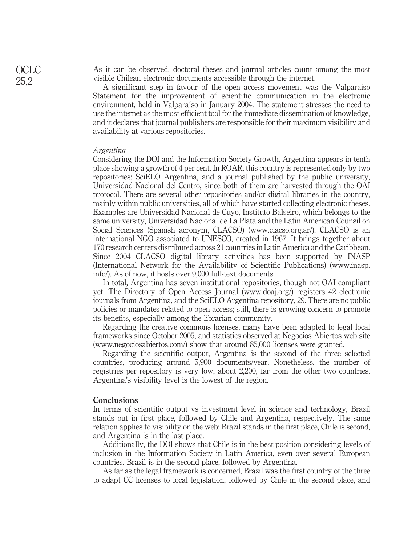As it can be observed, doctoral theses and journal articles count among the most visible Chilean electronic documents accessible through the internet.

A significant step in favour of the open access movement was the Valparaiso Statement for the improvement of scientific communication in the electronic environment, held in Valparaı´so in January 2004. The statement stresses the need to use the internet as the most efficient tool for the immediate dissemination of knowledge, and it declares that journal publishers are responsible for their maximum visibility and availability at various repositories.

#### Argentina

Considering the DOI and the Information Society Growth, Argentina appears in tenth place showing a growth of 4 per cent. In ROAR, this country is represented only by two repositories: SciELO Argentina, and a journal published by the public university, Universidad Nacional del Centro, since both of them are harvested through the OAI protocol. There are several other repositories and/or digital libraries in the country, mainly within public universities, all of which have started collecting electronic theses. Examples are Universidad Nacional de Cuyo, Instituto Balseiro, which belongs to the same university, Universidad Nacional de La Plata and the Latin American Counsil on Social Sciences (Spanish acronym, CLACSO) (www.clacso.org.ar/). CLACSO is an international NGO associated to UNESCO, created in 1967. It brings together about 170 research centers distributed across 21 countries in Latin America and the Caribbean. Since 2004 CLACSO digital library activities has been supported by INASP (International Network for the Availability of Scientific Publications) (www.inasp. info/). As of now, it hosts over 9,000 full-text documents.

In total, Argentina has seven institutional repositories, though not OAI compliant yet. The Directory of Open Access Journal (www.doaj.org/) registers 42 electronic journals from Argentina, and the SciELO Argentina repository, 29. There are no public policies or mandates related to open access; still, there is growing concern to promote its benefits, especially among the librarian community.

Regarding the creative commons licenses, many have been adapted to legal local frameworks since October 2005, and statistics observed at Negocios Abiertos web site (www.negociosabiertos.com/) show that around 85,000 licenses were granted.

Regarding the scientific output, Argentina is the second of the three selected countries, producing around 5,900 documents/year. Nonetheless, the number of registries per repository is very low, about 2,200, far from the other two countries. Argentina's visibility level is the lowest of the region.

### **Conclusions**

In terms of scientific output vs investment level in science and technology, Brazil stands out in first place, followed by Chile and Argentina, respectively. The same relation applies to visibility on the web: Brazil stands in the first place, Chile is second, and Argentina is in the last place.

Additionally, the DOI shows that Chile is in the best position considering levels of inclusion in the Information Society in Latin America, even over several European countries. Brazil is in the second place, followed by Argentina.

As far as the legal framework is concerned, Brazil was the first country of the three to adapt CC licenses to local legislation, followed by Chile in the second place, and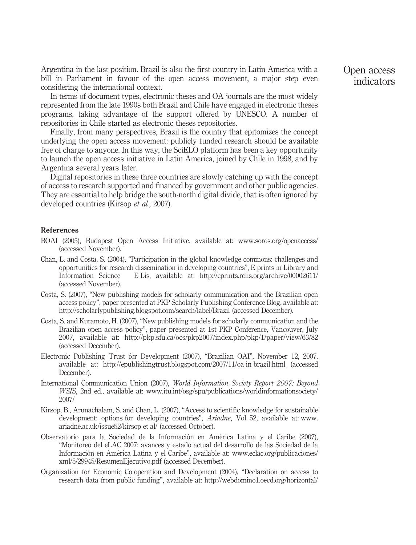Argentina in the last position. Brazil is also the first country in Latin America with a bill in Parliament in favour of the open access movement, a major step even considering the international context.

In terms of document types, electronic theses and OA journals are the most widely represented from the late 1990s both Brazil and Chile have engaged in electronic theses programs, taking advantage of the support offered by UNESCO. A number of repositories in Chile started as electronic theses repositories.

Finally, from many perspectives, Brazil is the country that epitomizes the concept underlying the open access movement: publicly funded research should be available free of charge to anyone. In this way, the SciELO platform has been a key opportunity to launch the open access initiative in Latin America, joined by Chile in 1998, and by Argentina several years later.

Digital repositories in these three countries are slowly catching up with the concept of access to research supported and financed by government and other public agencies. They are essential to help bridge the south-north digital divide, that is often ignored by developed countries (Kirsop et al., 2007).

#### References

- BOAI (2005), Budapest Open Access Initiative, available at: www.soros.org/openaccess/ (accessed November).
- Chan, L. and Costa, S. (2004), "Participation in the global knowledge commons: challenges and opportunities for research dissemination in developing countries", E prints in Library and Information Science E Lis, available at: http://eprints.rclis.org/archive/00002611/ (accessed November).
- Costa, S. (2007), "New publishing models for scholarly communication and the Brazilian open access policy", paper presented at PKP Scholarly Publishing Conference Blog, available at: http://scholarlypublishing.blogspot.com/search/label/Brazil (accessed December).
- Costa, S. and Kuramoto, H. (2007), "New publishing models for scholarly communication and the Brazilian open access policy", paper presented at 1st PKP Conference, Vancouver, July 2007, available at: http://pkp.sfu.ca/ocs/pkp2007/index.php/pkp/1/paper/view/63/82 (accessed December).
- Electronic Publishing Trust for Development (2007), "Brazilian OAI", November 12, 2007, available at: http://epublishingtrust.blogspot.com/2007/11/oa in brazil.html (accessed December).
- International Communication Union (2007), World Information Society Report 2007: Beyond WSIS, 2nd ed., available at: www.itu.int/osg/spu/publications/worldinformationsociety/ 2007/
- Kirsop, B., Arunachalam, S. and Chan, L. (2007), "Access to scientific knowledge for sustainable development: options for developing countries", Ariadne, Vol. 52, available at: www. ariadne.ac.uk/issue52/kirsop et al/ (accessed October).
- Observatorio para la Sociedad de la Información en América Latina y el Caribe (2007), "Monitoreo del eLAC 2007: avances y estado actual del desarrollo de las Sociedad de la Información en América Latina y el Caribe", available at: www.eclac.org/publicaciones/ xml/5/29945/ResumenEjecutivo.pdf (accessed December).
- Organization for Economic Co operation and Development (2004), "Declaration on access to research data from public funding", available at: http://webdomino1.oecd.org/horizontal/

Open access indicators